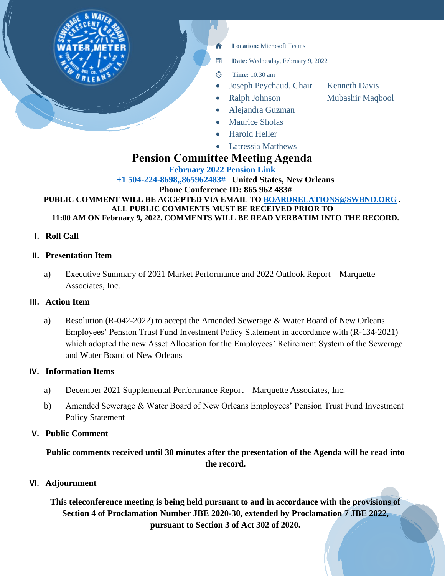

• Latressia Matthews

# **Pension Committee Meeting Agenda**

**[February 2022 Pension Link](https://teams.microsoft.com/l/meetup-join/19%3ameeting_ZGYwOTY2OTEtZWExOC00YzEzLWEwN2YtZjg0ZjY0ZWIyNDU0%40thread.v2/0?context=%7b%22Tid%22%3a%22db706155-4aa7-4a5e-b348-b35c3136f6a7%22%2c%22Oid%22%3a%22fcca2b1f-7895-42f0-8972-2f2b78d70e78%22%7d) [+1 504-224-8698,,865962483#](tel:+15042248698,,865962483# ) United States, New Orleans Phone Conference ID: 865 962 483# PUBLIC COMMENT WILL BE ACCEPTED VIA EMAIL TO [BOARDRELATIONS@SWBNO.ORG](mailto:BOARDRELATIONS@SWBNO.ORG) . ALL PUBLIC COMMENTS MUST BE RECEIVED PRIOR TO 11:00 AM ON February 9, 2022. COMMENTS WILL BE READ VERBATIM INTO THE RECORD.**

### **I. Roll Call**

### **II. Presentation Item**

a) Executive Summary of 2021 Market Performance and 2022 Outlook Report – Marquette Associates, Inc.

### **III. Action Item**

a) Resolution (R-042-2022) to accept the Amended Sewerage & Water Board of New Orleans Employees' Pension Trust Fund Investment Policy Statement in accordance with (R-134-2021) which adopted the new Asset Allocation for the Employees' Retirement System of the Sewerage and Water Board of New Orleans

### **IV. Information Items**

- a) December 2021 Supplemental Performance Report Marquette Associates, Inc.
- b) Amended Sewerage & Water Board of New Orleans Employees' Pension Trust Fund Investment Policy Statement

# **V. Public Comment**

# **Public comments received until 30 minutes after the presentation of the Agenda will be read into the record.**

### **VI. Adjournment**

**This teleconference meeting is being held pursuant to and in accordance with the provisions of Section 4 of Proclamation Number JBE 2020-30, extended by Proclamation 7 JBE 2022, pursuant to Section 3 of Act 302 of 2020.**